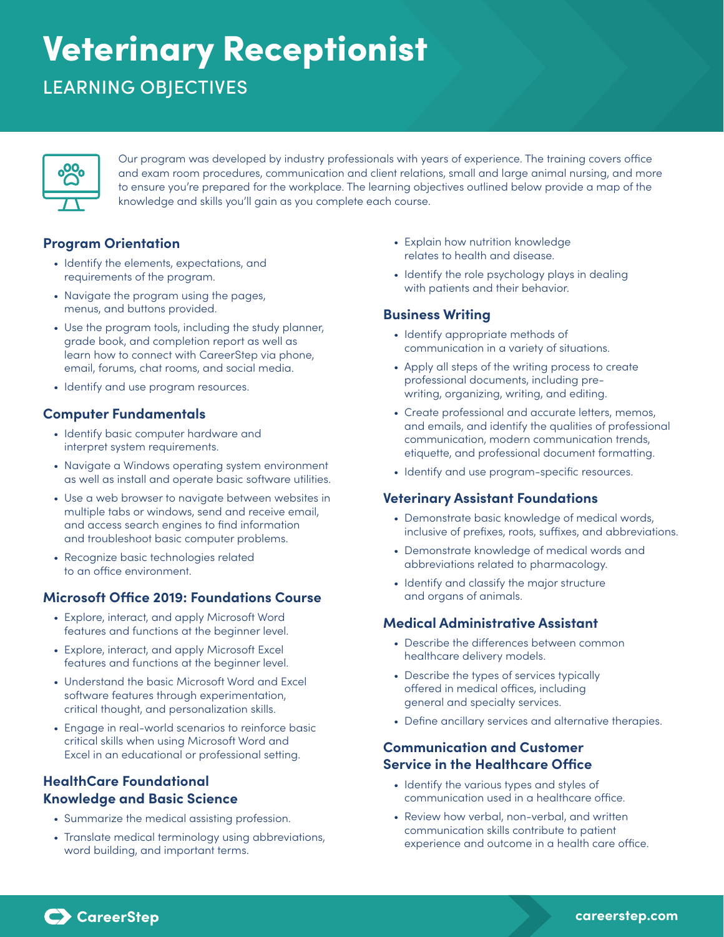# Veterinary Receptionist

# LEARNING OBJECTIVES



Our program was developed by industry professionals with years of experience. The training covers office and exam room procedures, communication and client relations, small and large animal nursing, and more to ensure you're prepared for the workplace. The learning objectives outlined below provide a map of the knowledge and skills you'll gain as you complete each course.

## **Program Orientation**

- Identify the elements, expectations, and requirements of the program.
- Navigate the program using the pages, menus, and buttons provided.
- Use the program tools, including the study planner, grade book, and completion report as well as learn how to connect with CareerStep via phone, email, forums, chat rooms, and social media.
- Identify and use program resources.

#### **Computer Fundamentals**

- Identify basic computer hardware and interpret system requirements.
- Navigate a Windows operating system environment as well as install and operate basic software utilities.
- Use a web browser to navigate between websites in multiple tabs or windows, send and receive email, and access search engines to find information and troubleshoot basic computer problems.
- Recognize basic technologies related to an office environment.

#### **Microsoft Office 2019: Foundations Course**

- Explore, interact, and apply Microsoft Word features and functions at the beginner level.
- Explore, interact, and apply Microsoft Excel features and functions at the beginner level.
- Understand the basic Microsoft Word and Excel software features through experimentation, critical thought, and personalization skills.
- Engage in real-world scenarios to reinforce basic critical skills when using Microsoft Word and Excel in an educational or professional setting.

### **HealthCare Foundational Knowledge and Basic Science**

- Summarize the medical assisting profession.
- Translate medical terminology using abbreviations, word building, and important terms.
- Explain how nutrition knowledge relates to health and disease.
- Identify the role psychology plays in dealing with patients and their behavior.

#### **Business Writing**

- Identify appropriate methods of communication in a variety of situations.
- Apply all steps of the writing process to create professional documents, including prewriting, organizing, writing, and editing.
- Create professional and accurate letters, memos, and emails, and identify the qualities of professional communication, modern communication trends, etiquette, and professional document formatting.
- Identify and use program-specific resources.

#### **Veterinary Assistant Foundations**

- Demonstrate basic knowledge of medical words, inclusive of prefixes, roots, suffixes, and abbreviations.
- Demonstrate knowledge of medical words and abbreviations related to pharmacology.
- Identify and classify the major structure and organs of animals.

#### **Medical Administrative Assistant**

- Describe the differences between common healthcare delivery models.
- Describe the types of services typically offered in medical offices, including general and specialty services.
- Define ancillary services and alternative therapies.

#### **Communication and Customer Service in the Healthcare Office**

- Identify the various types and styles of communication used in a healthcare office.
- Review how verbal, non-verbal, and written communication skills contribute to patient experience and outcome in a health care office.